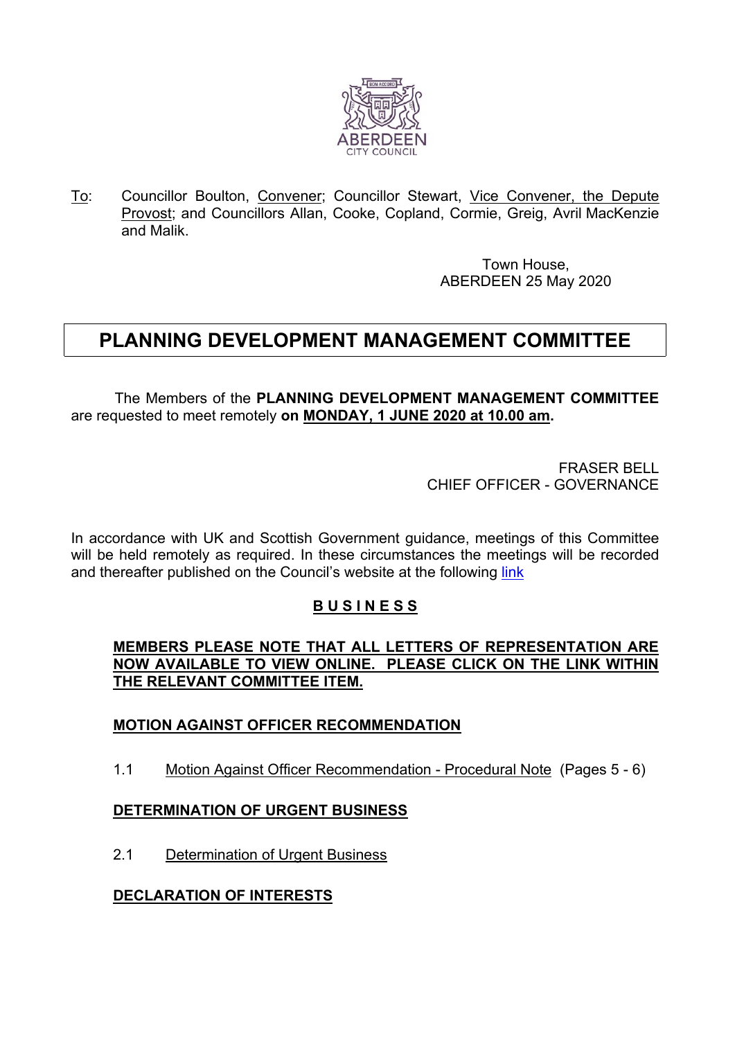

To: Councillor Boulton, Convener; Councillor Stewart, Vice Convener, the Depute Provost; and Councillors Allan, Cooke, Copland, Cormie, Greig, Avril MacKenzie and Malik.

> Town House, ABERDEEN 25 May 2020

# **PLANNING DEVELOPMENT MANAGEMENT COMMITTEE**

The Members of the **PLANNING DEVELOPMENT MANAGEMENT COMMITTEE** are requested to meet remotely **on MONDAY, 1 JUNE 2020 at 10.00 am.**

> FRASER BELL CHIEF OFFICER - GOVERNANCE

In accordance with UK and Scottish Government guidance, meetings of this Committee will be held remotely as required. In these circumstances the meetings will be recorded and thereafter published on the Council's website at the following [link](https://www.aberdeencity.gov.uk/services/council-and-democracy/committee-meeting-recordings)

## **B U S I N E S S**

#### **MEMBERS PLEASE NOTE THAT ALL LETTERS OF REPRESENTATION ARE NOW AVAILABLE TO VIEW ONLINE. PLEASE CLICK ON THE LINK WITHIN THE RELEVANT COMMITTEE ITEM.**

## **MOTION AGAINST OFFICER RECOMMENDATION**

1.1 Motion Against Officer Recommendation - Procedural Note (Pages 5 - 6)

## **DETERMINATION OF URGENT BUSINESS**

2.1 Determination of Urgent Business

## **DECLARATION OF INTERESTS**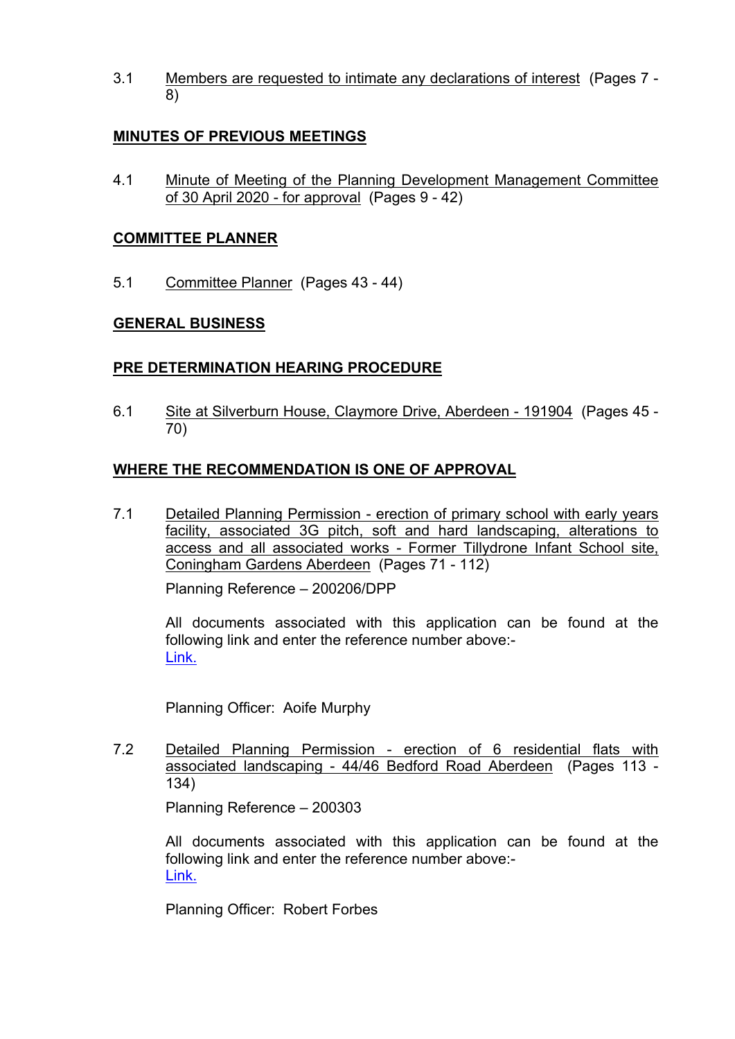3.1 Members are requested to intimate any declarations of interest (Pages 7 - 8)

## **MINUTES OF PREVIOUS MEETINGS**

4.1 Minute of Meeting of the Planning Development Management Committee of 30 April 2020 - for approval (Pages 9 - 42)

#### **COMMITTEE PLANNER**

5.1 Committee Planner (Pages 43 - 44)

#### **GENERAL BUSINESS**

#### **PRE DETERMINATION HEARING PROCEDURE**

6.1 Site at Silverburn House, Claymore Drive, Aberdeen - 191904 (Pages 45 - 70)

## **WHERE THE RECOMMENDATION IS ONE OF APPROVAL**

7.1 Detailed Planning Permission - erection of primary school with early years facility, associated 3G pitch, soft and hard landscaping, alterations to access and all associated works - Former Tillydrone Infant School site, Coningham Gardens Aberdeen (Pages 71 - 112)

Planning Reference – 200206/DPP

All documents associated with this application can be found at the following link and enter the reference number above:- [Link.](https://publicaccess.aberdeencity.gov.uk/online-applications/)

Planning Officer: Aoife Murphy

7.2 Detailed Planning Permission - erection of 6 residential flats with associated landscaping - 44/46 Bedford Road Aberdeen (Pages 113 - 134)

Planning Reference – 200303

All documents associated with this application can be found at the following link and enter the reference number above:- [Link.](https://publicaccess.aberdeencity.gov.uk/online-applications/)

Planning Officer: Robert Forbes